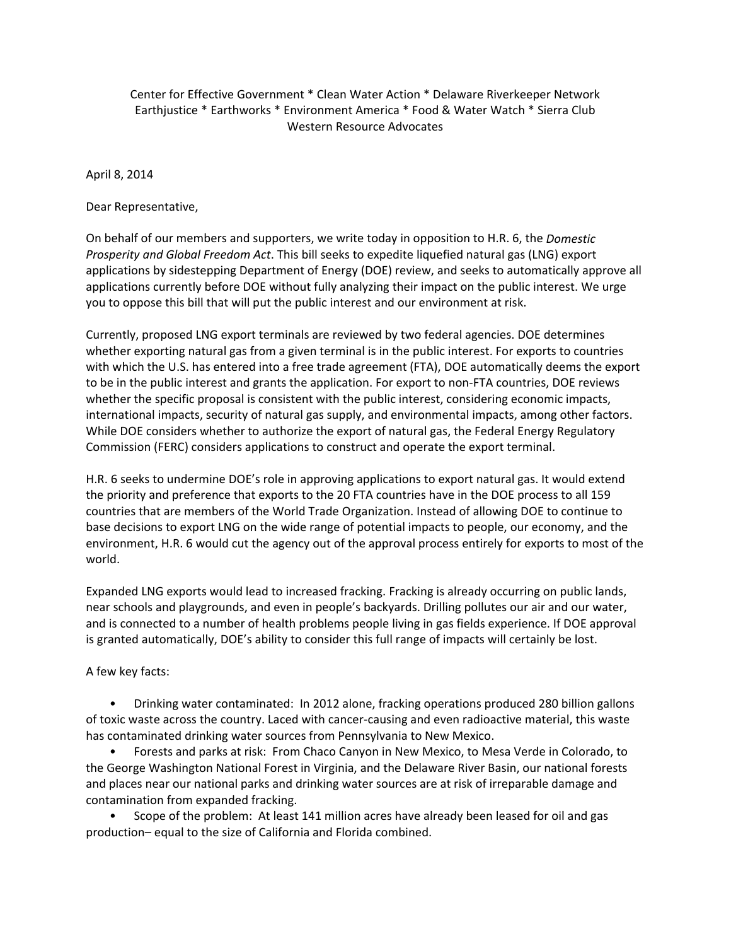## Center for Effective Government \* Clean Water Action \* Delaware Riverkeeper Network Earthjustice \* Earthworks \* Environment America \* Food & Water Watch \* Sierra Club Western Resource Advocates

April 8, 2014

Dear Representative,

On behalf of our members and supporters, we write today in opposition to H.R. 6, the *Domestic Prosperity and Global Freedom Act*. This bill seeks to expedite liquefied natural gas (LNG) export applications by sidestepping Department of Energy (DOE) review, and seeks to automatically approve all applications currently before DOE without fully analyzing their impact on the public interest. We urge you to oppose this bill that will put the public interest and our environment at risk.

Currently, proposed LNG export terminals are reviewed by two federal agencies. DOE determines whether exporting natural gas from a given terminal is in the public interest. For exports to countries with which the U.S. has entered into a free trade agreement (FTA), DOE automatically deems the export to be in the public interest and grants the application. For export to non‐FTA countries, DOE reviews whether the specific proposal is consistent with the public interest, considering economic impacts, international impacts, security of natural gas supply, and environmental impacts, among other factors. While DOE considers whether to authorize the export of natural gas, the Federal Energy Regulatory Commission (FERC) considers applications to construct and operate the export terminal.

H.R. 6 seeks to undermine DOE's role in approving applications to export natural gas. It would extend the priority and preference that exports to the 20 FTA countries have in the DOE process to all 159 countries that are members of the World Trade Organization. Instead of allowing DOE to continue to base decisions to export LNG on the wide range of potential impacts to people, our economy, and the environment, H.R. 6 would cut the agency out of the approval process entirely for exports to most of the world.

Expanded LNG exports would lead to increased fracking. Fracking is already occurring on public lands, near schools and playgrounds, and even in people's backyards. Drilling pollutes our air and our water, and is connected to a number of health problems people living in gas fields experience. If DOE approval is granted automatically, DOE's ability to consider this full range of impacts will certainly be lost.

A few key facts:

 • Drinking water contaminated: In 2012 alone, fracking operations produced 280 billion gallons of toxic waste across the country. Laced with cancer‐causing and even radioactive material, this waste has contaminated drinking water sources from Pennsylvania to New Mexico.

 • Forests and parks at risk: From Chaco Canyon in New Mexico, to Mesa Verde in Colorado, to the George Washington National Forest in Virginia, and the Delaware River Basin, our national forests and places near our national parks and drinking water sources are at risk of irreparable damage and contamination from expanded fracking.

 • Scope of the problem: At least 141 million acres have already been leased for oil and gas production– equal to the size of California and Florida combined.